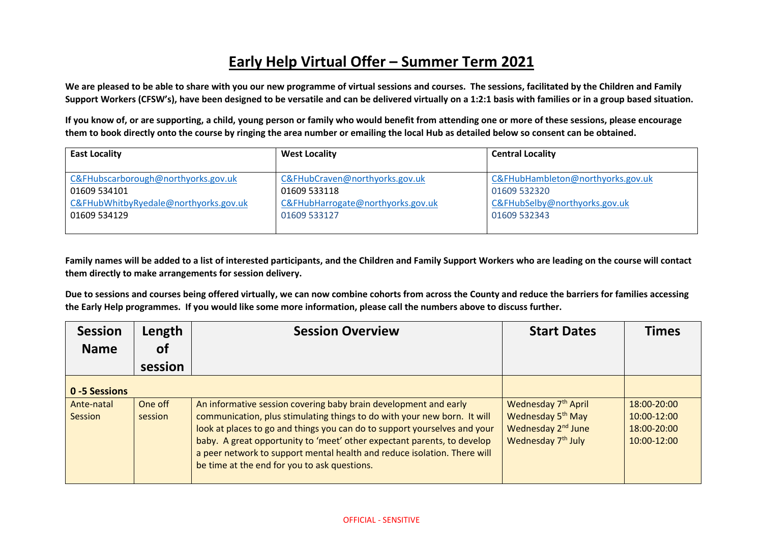## **Early Help Virtual Offer – Summer Term 2021**

**We are pleased to be able to share with you our new programme of virtual sessions and courses. The sessions, facilitated by the Children and Family Support Workers (CFSW's), have been designed to be versatile and can be delivered virtually on a 1:2:1 basis with families or in a group based situation.** 

**If you know of, or are supporting, a child, young person or family who would benefit from attending one or more of these sessions, please encourage them to book directly onto the course by ringing the area number or emailing the local Hub as detailed below so consent can be obtained.**

| <b>East Locality</b>                  | <b>West Locality</b>              | <b>Central Locality</b>           |
|---------------------------------------|-----------------------------------|-----------------------------------|
| C&FHubscarborough@northyorks.gov.uk   | C&FHubCraven@northyorks.gov.uk    | C&FHubHambleton@northyorks.gov.uk |
| 01609 534101                          | 01609 533118                      | 01609 532320                      |
| C&FHubWhitbyRyedale@northyorks.gov.uk | C&FHubHarrogate@northyorks.gov.uk | C&FHubSelby@northyorks.gov.uk     |
| 01609 534129                          | 01609 533127                      | 01609 532343                      |

**Family names will be added to a list of interested participants, and the Children and Family Support Workers who are leading on the course will contact them directly to make arrangements for session delivery.**

**Due to sessions and courses being offered virtually, we can now combine cohorts from across the County and reduce the barriers for families accessing the Early Help programmes. If you would like some more information, please call the numbers above to discuss further.**

| <b>Session</b>        | Length             | <b>Session Overview</b>                                                                                                                                                                                                                                                                                                                                                                                                          | <b>Start Dates</b>                                                                                                                   | <b>Times</b>                                                     |
|-----------------------|--------------------|----------------------------------------------------------------------------------------------------------------------------------------------------------------------------------------------------------------------------------------------------------------------------------------------------------------------------------------------------------------------------------------------------------------------------------|--------------------------------------------------------------------------------------------------------------------------------------|------------------------------------------------------------------|
| <b>Name</b>           | οf                 |                                                                                                                                                                                                                                                                                                                                                                                                                                  |                                                                                                                                      |                                                                  |
|                       | session            |                                                                                                                                                                                                                                                                                                                                                                                                                                  |                                                                                                                                      |                                                                  |
| 0 -5 Sessions         |                    |                                                                                                                                                                                                                                                                                                                                                                                                                                  |                                                                                                                                      |                                                                  |
| Ante-natal<br>Session | One off<br>session | An informative session covering baby brain development and early<br>communication, plus stimulating things to do with your new born. It will<br>look at places to go and things you can do to support yourselves and your<br>baby. A great opportunity to 'meet' other expectant parents, to develop<br>a peer network to support mental health and reduce isolation. There will<br>be time at the end for you to ask questions. | Wednesday 7 <sup>th</sup> April<br>Wednesday 5 <sup>th</sup> May<br>Wednesday 2 <sup>nd</sup> June<br>Wednesday 7 <sup>th</sup> July | $18:00 - 20:00$<br>$10:00 - 12:00$<br>18:00-20:00<br>10:00-12:00 |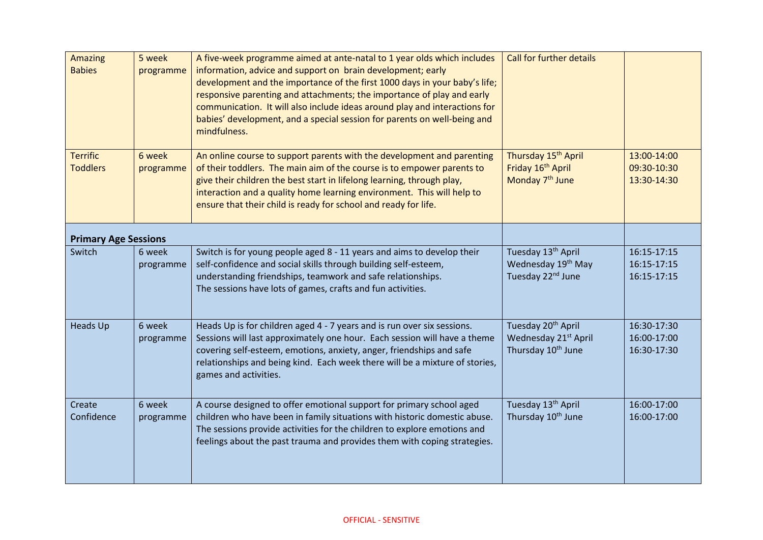| <b>Amazing</b><br><b>Babies</b>    | 5 week<br>programme | A five-week programme aimed at ante-natal to 1 year olds which includes<br>information, advice and support on brain development; early<br>development and the importance of the first 1000 days in your baby's life;<br>responsive parenting and attachments; the importance of play and early<br>communication. It will also include ideas around play and interactions for<br>babies' development, and a special session for parents on well-being and<br>mindfulness. | <b>Call for further details</b>                                                                   |                                           |
|------------------------------------|---------------------|--------------------------------------------------------------------------------------------------------------------------------------------------------------------------------------------------------------------------------------------------------------------------------------------------------------------------------------------------------------------------------------------------------------------------------------------------------------------------|---------------------------------------------------------------------------------------------------|-------------------------------------------|
| <b>Terrific</b><br><b>Toddlers</b> | 6 week<br>programme | An online course to support parents with the development and parenting<br>of their toddlers. The main aim of the course is to empower parents to<br>give their children the best start in lifelong learning, through play,<br>interaction and a quality home learning environment. This will help to<br>ensure that their child is ready for school and ready for life.                                                                                                  | Thursday 15 <sup>th</sup> April<br>Friday 16 <sup>th</sup> April<br>Monday 7 <sup>th</sup> June   | 13:00-14:00<br>09:30-10:30<br>13:30-14:30 |
| <b>Primary Age Sessions</b>        |                     |                                                                                                                                                                                                                                                                                                                                                                                                                                                                          |                                                                                                   |                                           |
| Switch                             | 6 week<br>programme | Switch is for young people aged 8 - 11 years and aims to develop their<br>self-confidence and social skills through building self-esteem,<br>understanding friendships, teamwork and safe relationships.<br>The sessions have lots of games, crafts and fun activities.                                                                                                                                                                                                  | Tuesday 13 <sup>th</sup> April<br>Wednesday 19 <sup>th</sup> May<br>Tuesday 22 <sup>nd</sup> June | 16:15-17:15<br>16:15-17:15<br>16:15-17:15 |
| <b>Heads Up</b>                    | 6 week<br>programme | Heads Up is for children aged 4 - 7 years and is run over six sessions.<br>Sessions will last approximately one hour. Each session will have a theme<br>covering self-esteem, emotions, anxiety, anger, friendships and safe<br>relationships and being kind. Each week there will be a mixture of stories,<br>games and activities.                                                                                                                                     | Tuesday 20 <sup>th</sup> April<br>Wednesday 21st April<br>Thursday 10 <sup>th</sup> June          | 16:30-17:30<br>16:00-17:00<br>16:30-17:30 |
| Create<br>Confidence               | 6 week<br>programme | A course designed to offer emotional support for primary school aged<br>children who have been in family situations with historic domestic abuse.<br>The sessions provide activities for the children to explore emotions and<br>feelings about the past trauma and provides them with coping strategies.                                                                                                                                                                | Tuesday 13 <sup>th</sup> April<br>Thursday 10 <sup>th</sup> June                                  | 16:00-17:00<br>16:00-17:00                |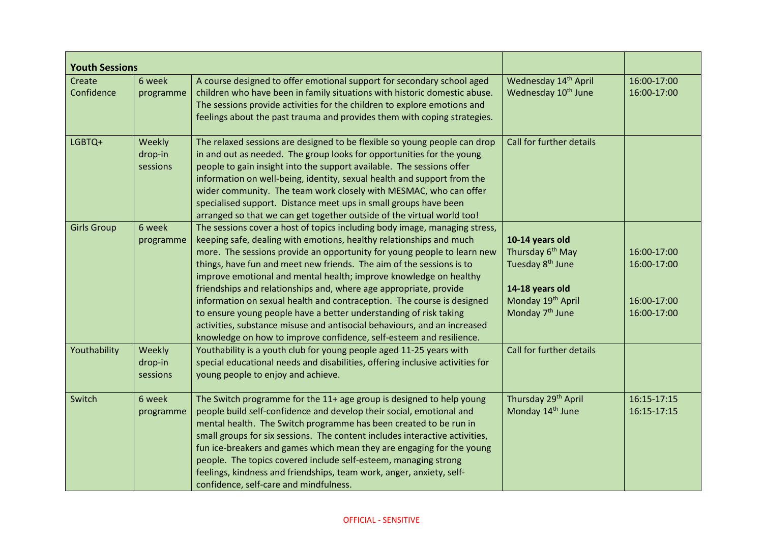| <b>Youth Sessions</b> |                               |                                                                                                                                                                                                                                                                                                                                                                                                                                                                                                                                                                                                                                                                                                                                                  |                                                                                                                                                                    |                                                          |
|-----------------------|-------------------------------|--------------------------------------------------------------------------------------------------------------------------------------------------------------------------------------------------------------------------------------------------------------------------------------------------------------------------------------------------------------------------------------------------------------------------------------------------------------------------------------------------------------------------------------------------------------------------------------------------------------------------------------------------------------------------------------------------------------------------------------------------|--------------------------------------------------------------------------------------------------------------------------------------------------------------------|----------------------------------------------------------|
| Create<br>Confidence  | 6 week<br>programme           | A course designed to offer emotional support for secondary school aged<br>children who have been in family situations with historic domestic abuse.<br>The sessions provide activities for the children to explore emotions and<br>feelings about the past trauma and provides them with coping strategies.                                                                                                                                                                                                                                                                                                                                                                                                                                      | Wednesday 14th April<br>Wednesday 10 <sup>th</sup> June                                                                                                            | 16:00-17:00<br>16:00-17:00                               |
| LGBTQ+                | Weekly<br>drop-in<br>sessions | The relaxed sessions are designed to be flexible so young people can drop<br>in and out as needed. The group looks for opportunities for the young<br>people to gain insight into the support available. The sessions offer<br>information on well-being, identity, sexual health and support from the<br>wider community. The team work closely with MESMAC, who can offer<br>specialised support. Distance meet ups in small groups have been<br>arranged so that we can get together outside of the virtual world too!                                                                                                                                                                                                                        | Call for further details                                                                                                                                           |                                                          |
| <b>Girls Group</b>    | 6 week<br>programme           | The sessions cover a host of topics including body image, managing stress,<br>keeping safe, dealing with emotions, healthy relationships and much<br>more. The sessions provide an opportunity for young people to learn new<br>things, have fun and meet new friends. The aim of the sessions is to<br>improve emotional and mental health; improve knowledge on healthy<br>friendships and relationships and, where age appropriate, provide<br>information on sexual health and contraception. The course is designed<br>to ensure young people have a better understanding of risk taking<br>activities, substance misuse and antisocial behaviours, and an increased<br>knowledge on how to improve confidence, self-esteem and resilience. | 10-14 years old<br>Thursday 6 <sup>th</sup> May<br>Tuesday 8 <sup>th</sup> June<br>14-18 years old<br>Monday 19 <sup>th</sup> April<br>Monday 7 <sup>th</sup> June | 16:00-17:00<br>16:00-17:00<br>16:00-17:00<br>16:00-17:00 |
| Youthability          | Weekly<br>drop-in<br>sessions | Youthability is a youth club for young people aged 11-25 years with<br>special educational needs and disabilities, offering inclusive activities for<br>young people to enjoy and achieve.                                                                                                                                                                                                                                                                                                                                                                                                                                                                                                                                                       | Call for further details                                                                                                                                           |                                                          |
| Switch                | 6 week<br>programme           | The Switch programme for the 11+ age group is designed to help young<br>people build self-confidence and develop their social, emotional and<br>mental health. The Switch programme has been created to be run in<br>small groups for six sessions. The content includes interactive activities,<br>fun ice-breakers and games which mean they are engaging for the young<br>people. The topics covered include self-esteem, managing strong<br>feelings, kindness and friendships, team work, anger, anxiety, self-<br>confidence, self-care and mindfulness.                                                                                                                                                                                   | Thursday 29 <sup>th</sup> April<br>Monday 14 <sup>th</sup> June                                                                                                    | 16:15-17:15<br>16:15-17:15                               |

## OFFICIAL - SENSITIVE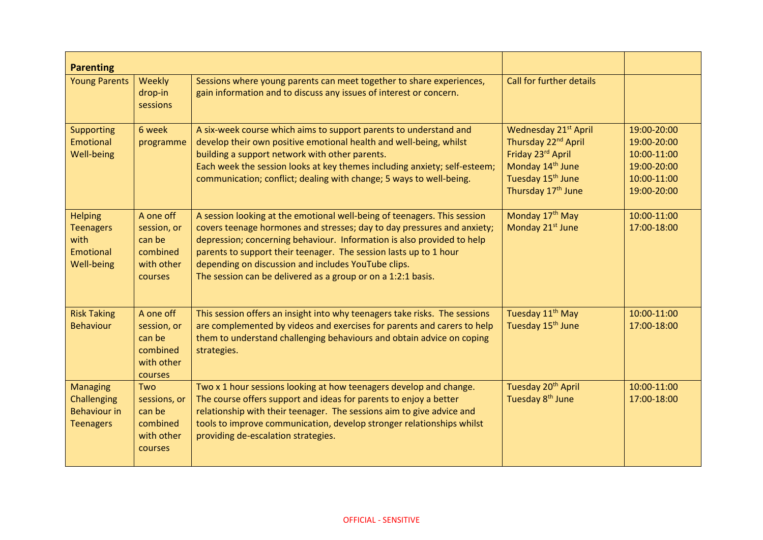| <b>Parenting</b>                                                          |                                                                                |                                                                                                                                                                                                                                                                                                                                                                                                                           |                                                                                                                                                                                 |                                                                                        |
|---------------------------------------------------------------------------|--------------------------------------------------------------------------------|---------------------------------------------------------------------------------------------------------------------------------------------------------------------------------------------------------------------------------------------------------------------------------------------------------------------------------------------------------------------------------------------------------------------------|---------------------------------------------------------------------------------------------------------------------------------------------------------------------------------|----------------------------------------------------------------------------------------|
| <b>Young Parents</b>                                                      | Weekly<br>drop-in<br>sessions                                                  | Sessions where young parents can meet together to share experiences,<br>gain information and to discuss any issues of interest or concern.                                                                                                                                                                                                                                                                                | <b>Call for further details</b>                                                                                                                                                 |                                                                                        |
| <b>Supporting</b><br>Emotional<br>Well-being                              | 6 week<br>programme                                                            | A six-week course which aims to support parents to understand and<br>develop their own positive emotional health and well-being, whilst<br>building a support network with other parents.<br>Each week the session looks at key themes including anxiety; self-esteem;<br>communication; conflict; dealing with change; 5 ways to well-being.                                                                             | Wednesday 21 <sup>st</sup> April<br>Thursday 22 <sup>nd</sup> April<br>Friday 23rd April<br>Monday 14th June<br>Tuesday 15 <sup>th</sup> June<br>Thursday 17 <sup>th</sup> June | 19:00-20:00<br>19:00-20:00<br>10:00-11:00<br>19:00-20:00<br>10:00-11:00<br>19:00-20:00 |
| <b>Helping</b><br><b>Teenagers</b><br>with<br>Emotional<br>Well-being     | A one off<br>session, or<br>can be<br>combined<br>with other<br>courses        | A session looking at the emotional well-being of teenagers. This session<br>covers teenage hormones and stresses; day to day pressures and anxiety;<br>depression; concerning behaviour. Information is also provided to help<br>parents to support their teenager. The session lasts up to 1 hour<br>depending on discussion and includes YouTube clips.<br>The session can be delivered as a group or on a 1:2:1 basis. | Monday 17 <sup>th</sup> May<br>Monday 21 <sup>st</sup> June                                                                                                                     | 10:00-11:00<br>17:00-18:00                                                             |
| <b>Risk Taking</b><br><b>Behaviour</b>                                    | A one off<br>session, or<br>can be<br>combined<br>with other<br><b>courses</b> | This session offers an insight into why teenagers take risks. The sessions<br>are complemented by videos and exercises for parents and carers to help<br>them to understand challenging behaviours and obtain advice on coping<br>strategies.                                                                                                                                                                             | Tuesday 11 <sup>th</sup> May<br>Tuesday 15 <sup>th</sup> June                                                                                                                   | 10:00-11:00<br>17:00-18:00                                                             |
| <b>Managing</b><br>Challenging<br><b>Behaviour in</b><br><b>Teenagers</b> | Two<br>sessions, or<br>can be<br>combined<br>with other<br>courses             | Two x 1 hour sessions looking at how teenagers develop and change.<br>The course offers support and ideas for parents to enjoy a better<br>relationship with their teenager. The sessions aim to give advice and<br>tools to improve communication, develop stronger relationships whilst<br>providing de-escalation strategies.                                                                                          | Tuesday 20 <sup>th</sup> April<br>Tuesday 8 <sup>th</sup> June                                                                                                                  | 10:00-11:00<br>17:00-18:00                                                             |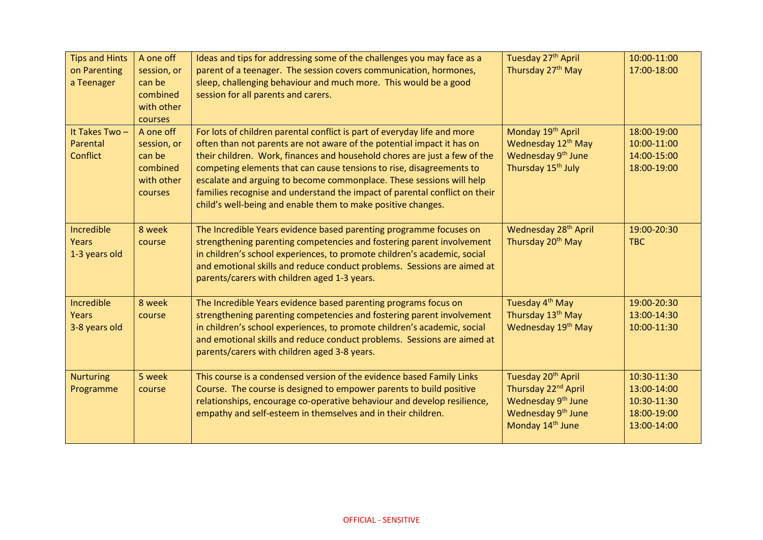| <b>Tips and Hints</b><br>on Parenting<br>a Teenager | A one off<br>session, or<br>can be<br>combined<br>with other<br>courses        | Ideas and tips for addressing some of the challenges you may face as a<br>parent of a teenager. The session covers communication, hormones,<br>sleep, challenging behaviour and much more. This would be a good<br>session for all parents and carers.                                                                                                                                                                                                                                                                        | Tuesday 27 <sup>th</sup> April<br>Thursday 27th May                                                                                                                   | 10:00-11:00<br>17:00-18:00                                              |
|-----------------------------------------------------|--------------------------------------------------------------------------------|-------------------------------------------------------------------------------------------------------------------------------------------------------------------------------------------------------------------------------------------------------------------------------------------------------------------------------------------------------------------------------------------------------------------------------------------------------------------------------------------------------------------------------|-----------------------------------------------------------------------------------------------------------------------------------------------------------------------|-------------------------------------------------------------------------|
| It Takes Two-<br>Parental<br><b>Conflict</b>        | A one off<br>session, or<br>can be<br>combined<br>with other<br><b>courses</b> | For lots of children parental conflict is part of everyday life and more<br>often than not parents are not aware of the potential impact it has on<br>their children. Work, finances and household chores are just a few of the<br>competing elements that can cause tensions to rise, disagreements to<br>escalate and arguing to become commonplace. These sessions will help<br>families recognise and understand the impact of parental conflict on their<br>child's well-being and enable them to make positive changes. | Monday 19 <sup>th</sup> April<br>Wednesday 12 <sup>th</sup> May<br>Wednesday 9 <sup>th</sup> June<br>Thursday 15 <sup>th</sup> July                                   | 18:00-19:00<br>10:00-11:00<br>14:00-15:00<br>18:00-19:00                |
| Incredible<br>Years<br>1-3 years old                | 8 week<br>course                                                               | The Incredible Years evidence based parenting programme focuses on<br>strengthening parenting competencies and fostering parent involvement<br>in children's school experiences, to promote children's academic, social<br>and emotional skills and reduce conduct problems. Sessions are aimed at<br>parents/carers with children aged 1-3 years.                                                                                                                                                                            | Wednesday 28 <sup>th</sup> April<br>Thursday 20 <sup>th</sup> May                                                                                                     | 19:00-20:30<br><b>TBC</b>                                               |
| Incredible<br>Years<br>3-8 years old                | 8 week<br>course                                                               | The Incredible Years evidence based parenting programs focus on<br>strengthening parenting competencies and fostering parent involvement<br>in children's school experiences, to promote children's academic, social<br>and emotional skills and reduce conduct problems. Sessions are aimed at<br>parents/carers with children aged 3-8 years.                                                                                                                                                                               | Tuesday 4 <sup>th</sup> May<br>Thursday 13 <sup>th</sup> May<br>Wednesday 19 <sup>th</sup> May                                                                        | 19:00-20:30<br>13:00-14:30<br>10:00-11:30                               |
| <b>Nurturing</b><br>Programme                       | 5 week<br>course                                                               | This course is a condensed version of the evidence based Family Links<br>Course. The course is designed to empower parents to build positive<br>relationships, encourage co-operative behaviour and develop resilience,<br>empathy and self-esteem in themselves and in their children.                                                                                                                                                                                                                                       | Tuesday 20 <sup>th</sup> April<br>Thursday 22 <sup>nd</sup> April<br>Wednesday 9 <sup>th</sup> June<br>Wednesday 9 <sup>th</sup> June<br>Monday 14 <sup>th</sup> June | 10:30-11:30<br>13:00-14:00<br>10:30-11:30<br>18:00-19:00<br>13:00-14:00 |